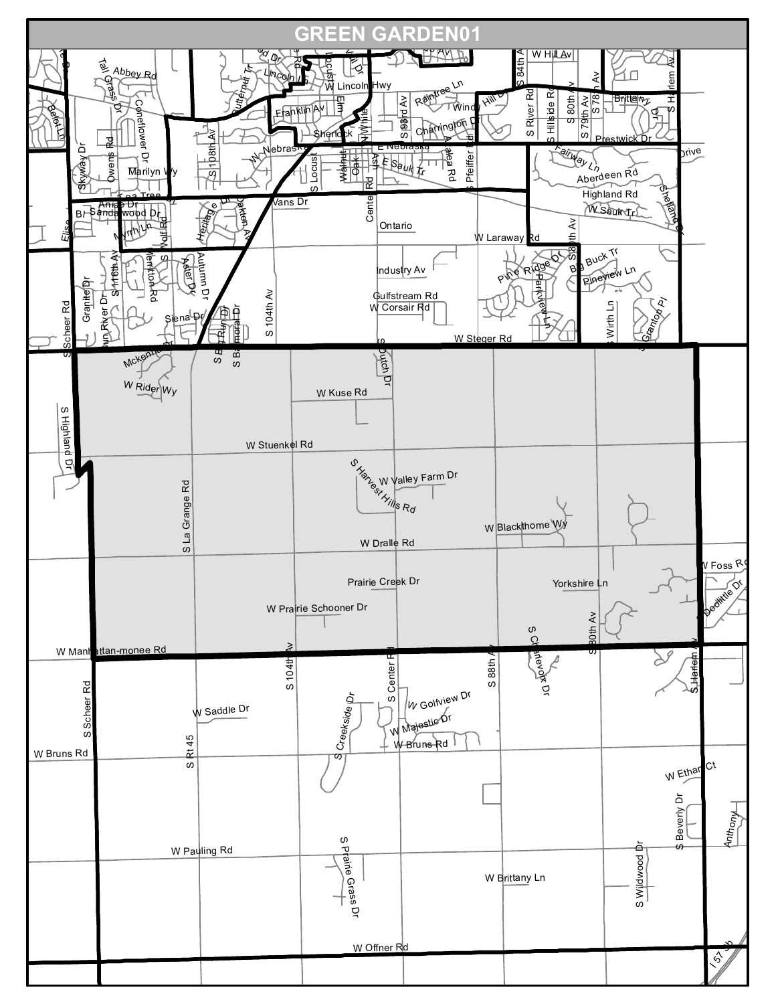